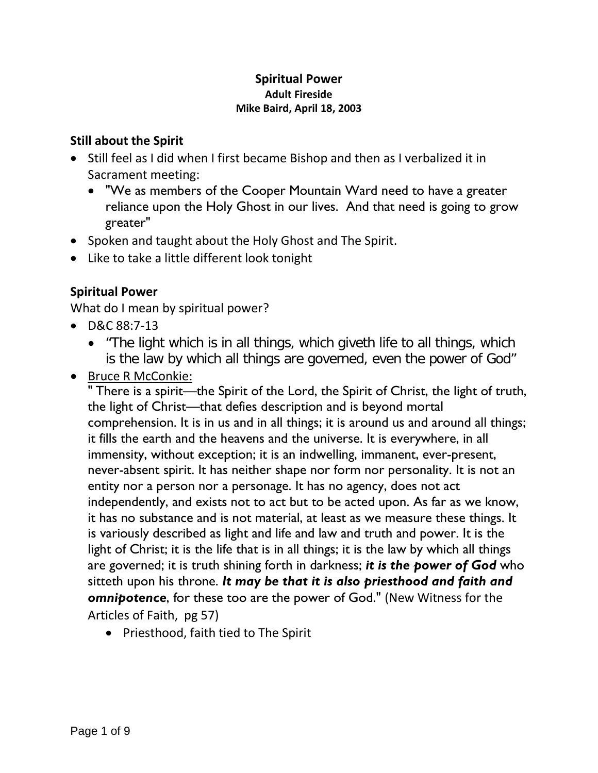## **Spiritual Power Adult Fireside Mike Baird, April 18, 2003**

## **Still about the Spirit**

- Still feel as I did when I first became Bishop and then as I verbalized it in Sacrament meeting:
	- "We as members of the Cooper Mountain Ward need to have a greater reliance upon the Holy Ghost in our lives. And that need is going to grow greater"
- Spoken and taught about the Holy Ghost and The Spirit.
- Like to take a little different look tonight

# **Spiritual Power**

What do I mean by spiritual power?

- D&C 88:7-13
	- "The light which is in all things, which giveth life to all things, which is the law by which all things are governed, even the power of God"
- Bruce R McConkie:

" There is a spirit—the Spirit of the Lord, the Spirit of Christ, the light of truth, the light of Christ—that defies description and is beyond mortal comprehension. It is in us and in all things; it is around us and around all things; it fills the earth and the heavens and the universe. It is everywhere, in all immensity, without exception; it is an indwelling, immanent, ever-present, never-absent spirit. It has neither shape nor form nor personality. It is not an entity nor a person nor a personage. It has no agency, does not act independently, and exists not to act but to be acted upon. As far as we know, it has no substance and is not material, at least as we measure these things. It is variously described as light and life and law and truth and power. It is the light of Christ; it is the life that is in all things; it is the law by which all things are governed; it is truth shining forth in darkness; *it is the power of God* who sitteth upon his throne. *It may be that it is also priesthood and faith and omnipotence*, for these too are the power of God." (New Witness for the Articles of Faith, pg 57)

• Priesthood, faith tied to The Spirit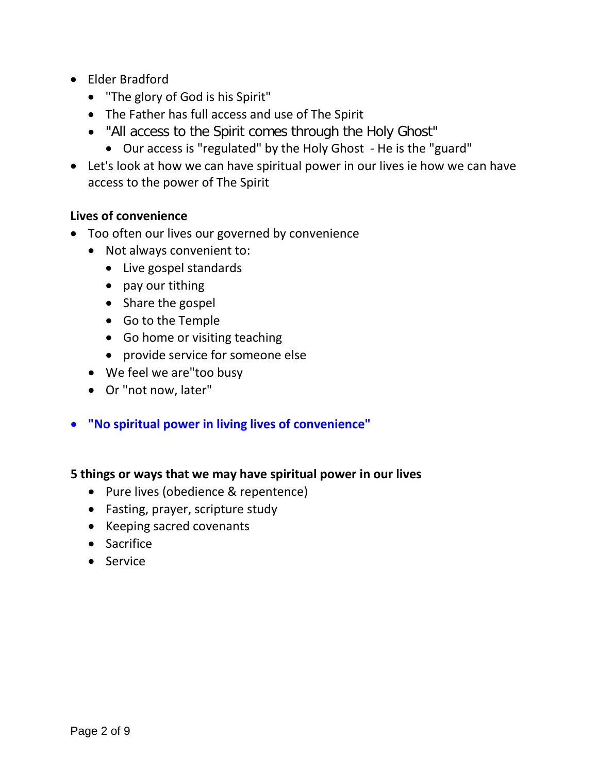- Elder Bradford
	- "The glory of God is his Spirit"
	- The Father has full access and use of The Spirit
	- "All access to the Spirit comes through the Holy Ghost"
		- Our access is "regulated" by the Holy Ghost He is the "guard"
- Let's look at how we can have spiritual power in our lives ie how we can have access to the power of The Spirit

## **Lives of convenience**

- Too often our lives our governed by convenience
	- Not always convenient to:
		- Live gospel standards
		- pay our tithing
		- Share the gospel
		- Go to the Temple
		- Go home or visiting teaching
		- provide service for someone else
	- We feel we are"too busy
	- Or "not now, later"
- **"No spiritual power in living lives of convenience"**

#### **5 things or ways that we may have spiritual power in our lives**

- Pure lives (obedience & repentence)
- Fasting, prayer, scripture study
- Keeping sacred covenants
- Sacrifice
- Service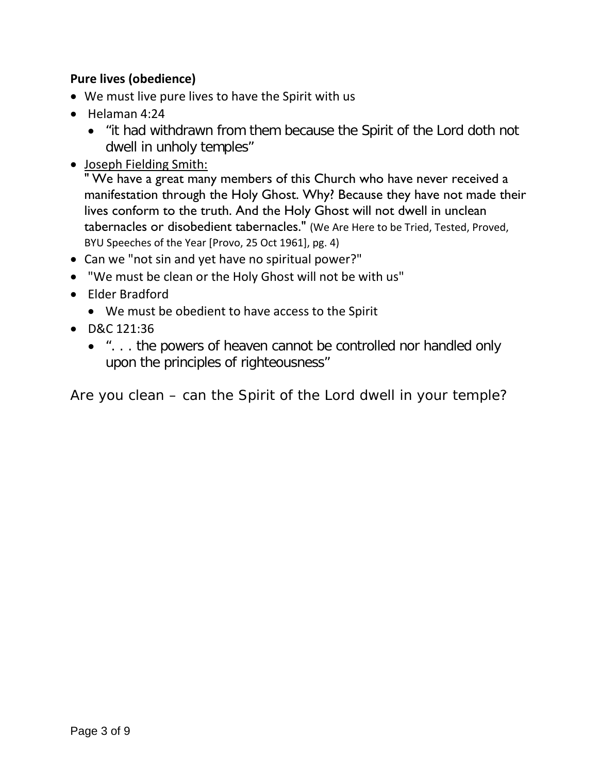# **Pure lives (obedience)**

- We must live pure lives to have the Spirit with us
- Helaman 4:24
	- "it had withdrawn from them because the Spirit of the Lord doth not dwell in unholy temples"
- Joseph Fielding Smith:

" We have a great many members of this Church who have never received a manifestation through the Holy Ghost. Why? Because they have not made their lives conform to the truth. And the Holy Ghost will not dwell in unclean tabernacles or disobedient tabernacles." (We Are Here to be Tried, Tested, Proved, BYU Speeches of the Year [Provo, 25 Oct 1961], pg. 4)

- Can we "not sin and yet have no spiritual power?"
- "We must be clean or the Holy Ghost will not be with us"
- Elder Bradford
	- We must be obedient to have access to the Spirit
- D&C 121:36
	- ". . . the powers of heaven cannot be controlled nor handled only upon the principles of righteousness"

Are you clean – can the Spirit of the Lord dwell in your temple?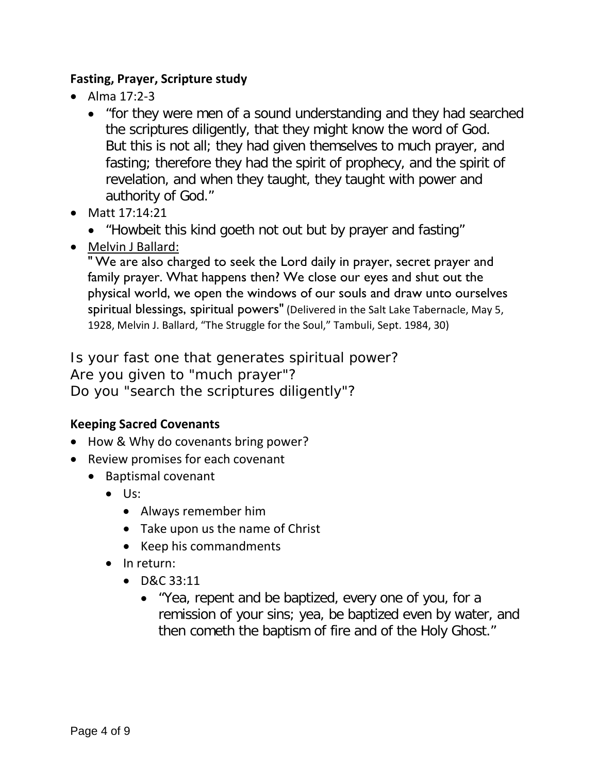## **Fasting, Prayer, Scripture study**

- Alma 17:2-3
	- "for they were men of a sound understanding and they had searched the scriptures diligently, that they might know the word of God. But this is not all; they had given themselves to much prayer, and fasting; therefore they had the spirit of prophecy, and the spirit of revelation, and when they taught, they taught with power and authority of God."
- Matt 17:14:21
	- "Howbeit this kind goeth not out but by prayer and fasting"
- Melvin J Ballard:

" We are also charged to seek the Lord daily in prayer, secret prayer and family prayer. What happens then? We close our eyes and shut out the physical world, we open the windows of our souls and draw unto ourselves spiritual blessings, spiritual powers" (Delivered in the Salt Lake Tabernacle, May 5, 1928, Melvin J. Ballard, "The Struggle for the Soul," Tambuli, Sept. 1984, 30)

Is your fast one that generates spiritual power? Are you given to "much prayer"? Do you "search the scriptures diligently"?

# **Keeping Sacred Covenants**

- How & Why do covenants bring power?
- Review promises for each covenant
	- Baptismal covenant
		- Us:
			- Always remember him
			- Take upon us the name of Christ
			- Keep his commandments
		- In return:
			- D&C 33:11
				- "Yea, repent and be baptized, every one of you, for a remission of your sins; yea, be baptized even by water, and then cometh the baptism of fire and of the Holy Ghost."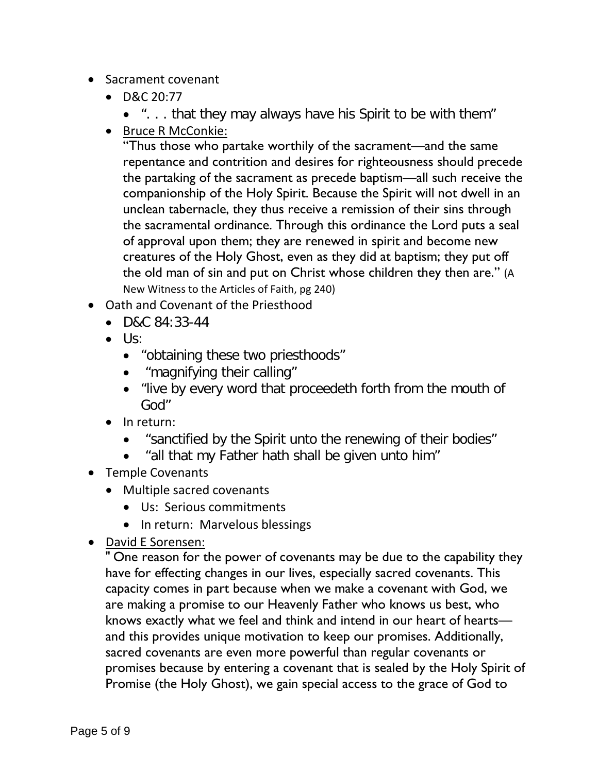- Sacrament covenant
	- D&C 20:77
		- ". . . that they may always have his Spirit to be with them"
	- Bruce R McConkie:

"Thus those who partake worthily of the sacrament—and the same repentance and contrition and desires for righteousness should precede the partaking of the sacrament as precede baptism—all such receive the companionship of the Holy Spirit. Because the Spirit will not dwell in an unclean tabernacle, they thus receive a remission of their sins through the sacramental ordinance. Through this ordinance the Lord puts a seal of approval upon them; they are renewed in spirit and become new creatures of the Holy Ghost, even as they did at baptism; they put off the old man of sin and put on Christ whose children they then are." (A New Witness to the Articles of Faith, pg 240)

- Oath and Covenant of the Priesthood
	- D&C 84:33-44
	- Us:
		- "obtaining these two priesthoods"
		- "magnifying their calling"
		- "live by every word that proceedeth forth from the mouth of God"
	- In return:
		- "sanctified by the Spirit unto the renewing of their bodies"
		- "all that my Father hath shall be given unto him"
- Temple Covenants
	- Multiple sacred covenants
		- Us: Serious commitments
		- In return: Marvelous blessings
- David E Sorensen:

" One reason for the power of covenants may be due to the capability they have for effecting changes in our lives, especially sacred covenants. This capacity comes in part because when we make a covenant with God, we are making a promise to our Heavenly Father who knows us best, who knows exactly what we feel and think and intend in our heart of hearts and this provides unique motivation to keep our promises. Additionally, sacred covenants are even more powerful than regular covenants or promises because by entering a covenant that is sealed by the Holy Spirit of Promise (the Holy Ghost), we gain special access to the grace of God to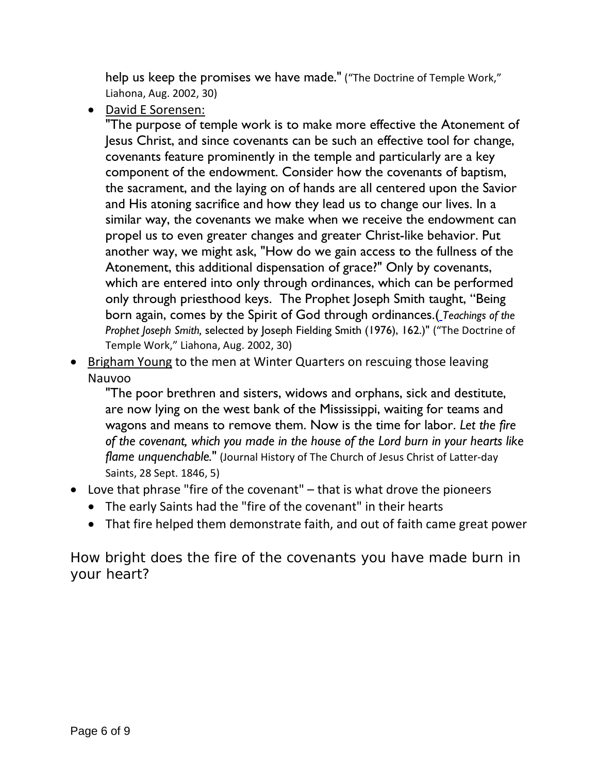help us keep the promises we have made." ("The Doctrine of Temple Work," Liahona, Aug. 2002, 30)

• David E Sorensen:

"The purpose of temple work is to make more effective the Atonement of Jesus Christ, and since covenants can be such an effective tool for change, covenants feature prominently in the temple and particularly are a key component of the endowment. Consider how the covenants of baptism, the sacrament, and the laying on of hands are all centered upon the Savior and His atoning sacrifice and how they lead us to change our lives. In a similar way, the covenants we make when we receive the endowment can propel us to even greater changes and greater Christ-like behavior. Put another way, we might ask, "How do we gain access to the fullness of the Atonement, this additional dispensation of grace?" Only by covenants, which are entered into only through ordinances, which can be performed only through priesthood keys. The Prophet Joseph Smith taught, "Being born again, comes by the Spirit of God through ordinances.( *Teachings of the Prophet Joseph Smith,* selected by Joseph Fielding Smith (1976), 162.)" ("The Doctrine of Temple Work," Liahona, Aug. 2002, 30)

• Brigham Young to the men at Winter Quarters on rescuing those leaving Nauvoo

"The poor brethren and sisters, widows and orphans, sick and destitute, are now lying on the west bank of the Mississippi, waiting for teams and wagons and means to remove them. Now is the time for labor. *Let the fire of the covenant, which you made in the house of the Lord burn in your hearts like flame unquenchable.*" (Journal History of The Church of Jesus Christ of Latter-day Saints, 28 Sept. 1846, 5)

- Love that phrase "fire of the covenant" that is what drove the pioneers
	- The early Saints had the "fire of the covenant" in their hearts
	- That fire helped them demonstrate faith, and out of faith came great power

How bright does the fire of the covenants you have made burn in your heart?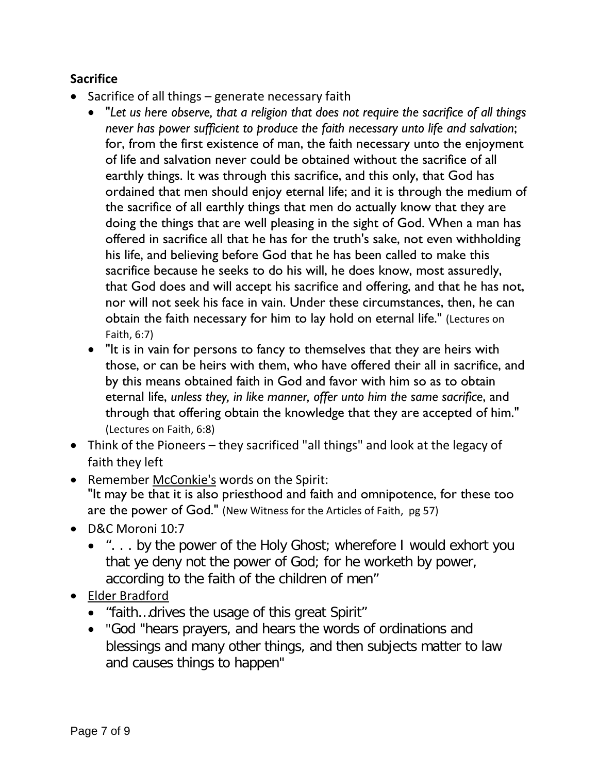# **Sacrifice**

- Sacrifice of all things generate necessary faith
	- "*Let us here observe, that a religion that does not require the sacrifice of all things never has power sufficient to produce the faith necessary unto life and salvation*; for, from the first existence of man, the faith necessary unto the enjoyment of life and salvation never could be obtained without the sacrifice of all earthly things. It was through this sacrifice, and this only, that God has ordained that men should enjoy eternal life; and it is through the medium of the sacrifice of all earthly things that men do actually know that they are doing the things that are well pleasing in the sight of God. When a man has offered in sacrifice all that he has for the truth's sake, not even withholding his life, and believing before God that he has been called to make this sacrifice because he seeks to do his will, he does know, most assuredly, that God does and will accept his sacrifice and offering, and that he has not, nor will not seek his face in vain. Under these circumstances, then, he can obtain the faith necessary for him to lay hold on eternal life." (Lectures on Faith, 6:7)
	- "It is in vain for persons to fancy to themselves that they are heirs with those, or can be heirs with them, who have offered their all in sacrifice, and by this means obtained faith in God and favor with him so as to obtain eternal life, *unless they, in like manner, offer unto him the same sacrifice*, and through that offering obtain the knowledge that they are accepted of him." (Lectures on Faith, 6:8)
- Think of the Pioneers they sacrificed "all things" and look at the legacy of faith they left
- Remember McConkie's words on the Spirit: "It may be that it is also priesthood and faith and omnipotence, for these too are the power of God." (New Witness for the Articles of Faith, pg 57)
- D&C Moroni 10:7
	- ". . . by the power of the Holy Ghost; wherefore I would exhort you that ye deny not the power of God; for he worketh by power, according to the faith of the children of men"
- Elder Bradford
	- "faith…drives the usage of this great Spirit"
	- "God "hears prayers, and hears the words of ordinations and blessings and many other things, and then subjects matter to law and causes things to happen"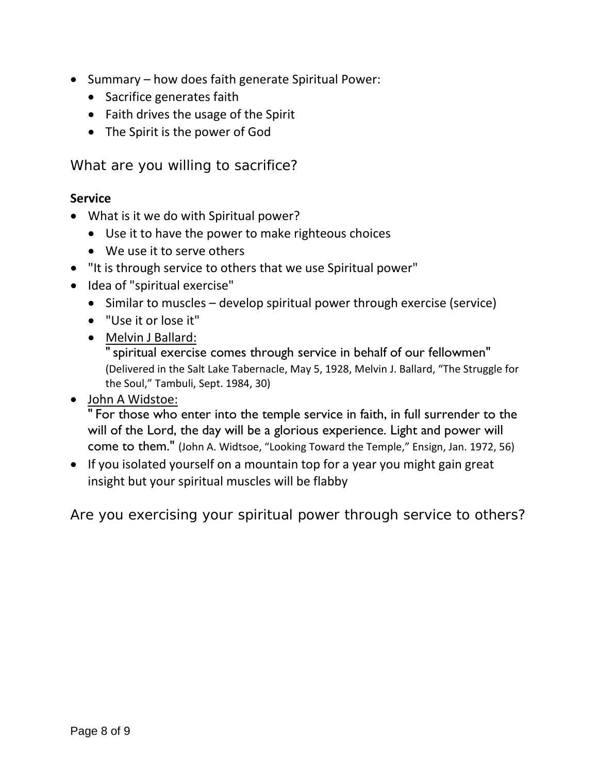- Summary how does faith generate Spiritual Power:
	- Sacrifice generates faith
	- Faith drives the usage of the Spirit
	- The Spirit is the power of God

What are you willing to sacrifice?

## **Service**

- What is it we do with Spiritual power?
	- Use it to have the power to make righteous choices
	- We use it to serve others
- "It is through service to others that we use Spiritual power"
- Idea of "spiritual exercise"
	- Similar to muscles develop spiritual power through exercise (service)
	- "Use it or lose it"
	- Melvin J Ballard:

" spiritual exercise comes through service in behalf of our fellowmen" (Delivered in the Salt Lake Tabernacle, May 5, 1928, Melvin J. Ballard, "The Struggle for the Soul," Tambuli, Sept. 1984, 30)

• John A Widstoe:

" For those who enter into the temple service in faith, in full surrender to the will of the Lord, the day will be a glorious experience. Light and power will come to them." (John A. Widtsoe, "Looking Toward the Temple," Ensign, Jan. 1972, 56)

• If you isolated yourself on a mountain top for a year you might gain great insight but your spiritual muscles will be flabby

Are you exercising your spiritual power through service to others?